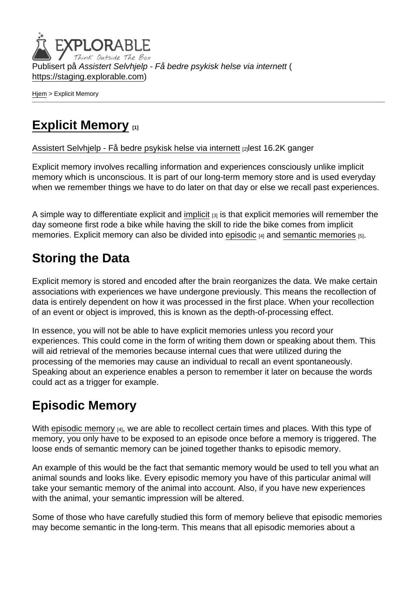Publisert på Assistert Selvhjelp - Få bedre psykisk helse via internett ( <https://staging.explorable.com>)

[Hjem](https://staging.explorable.com/) > Explicit Memory

## [Explicit Memory](https://staging.explorable.com/explicit-memory) [1]

[Assistert Selvhjelp - Få bedre psykisk helse via internett](https://staging.explorable.com/en) [2]lest 16.2K ganger

Explicit memory involves recalling information and experiences consciously unlike implicit memory which is unconscious. It is part of our long-term memory store and is used everyday when we remember things we have to do later on that day or else we recall past experiences.

A simple way to differentiate explicit and [implicit](https://staging.explorable.com/implicit-memory)  $[3]$  is that explicit memories will remember the day someone first rode a bike while having the skill to ride the bike comes from implicit memories. Explicit memory can also be divided into [episodic](https://staging.explorable.com/episodic-memory) [4] and [semantic memories](https://staging.explorable.com/semantic-memory) [5].

## Storing the Data

Explicit memory is stored and encoded after the brain reorganizes the data. We make certain associations with experiences we have undergone previously. This means the recollection of data is entirely dependent on how it was processed in the first place. When your recollection of an event or object is improved, this is known as the depth-of-processing effect.

In essence, you will not be able to have explicit memories unless you record your experiences. This could come in the form of writing them down or speaking about them. This will aid retrieval of the memories because internal cues that were utilized during the processing of the memories may cause an individual to recall an event spontaneously. Speaking about an experience enables a person to remember it later on because the words could act as a trigger for example.

## Episodic Memory

With [episodic memory](https://staging.explorable.com/episodic-memory)  $[4]$ , we are able to recollect certain times and places. With this type of memory, you only have to be exposed to an episode once before a memory is triggered. The loose ends of semantic memory can be joined together thanks to episodic memory.

An example of this would be the fact that semantic memory would be used to tell you what an animal sounds and looks like. Every episodic memory you have of this particular animal will take your semantic memory of the animal into account. Also, if you have new experiences with the animal, your semantic impression will be altered.

Some of those who have carefully studied this form of memory believe that episodic memories may become semantic in the long-term. This means that all episodic memories about a